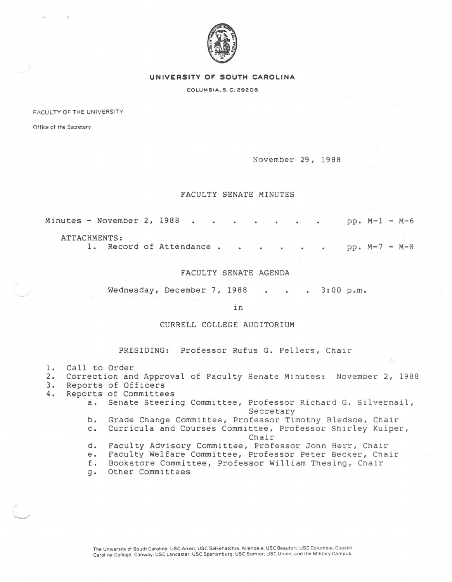

#### **UNIVERSITY OF SOUTH CAROLINA**

COLUMBIA, S. C. 29208

FACULTY OF THE UNIVERSITY

Office of the Secretary

November 29, 1988

## FACULTY SENATE MINUTES

Minutes - November 2, 1988 pp. M-1 - M-6

# ATTACHMENTS:

1. Record of Attendance . . . . . . pp. M-7 - M-8

## FACULTY SENATE AGENDA

Wednesday, December 7, 1988 . . . 3:00 p.m.

in

#### CURRELL COLLEGE AUDITORIUM

PRESIDING: Professor Rufus G. Fellers, Chair

- 1. Call to Order<br>2. Correction and
- 2. Correction and Approval of Faculty Senate Minutes: November 2, 1988
- 
- 3. Reports of Officers<br>4. Reports of Committee 4. Reports of Committees
	- a. Senate Steering Committee, Professor Richard G. Silvernail, Secretary
	- b. Grade Change Committee, Professor Timothy Bledsoe, Chair
	- c. Curricula and Courses Committee, Professor Shirley Kuiper,

Chair

- d. Faculty Advisory Committee, Professor John Herr, Chair
- e. Faculty Welfare Committee, Professor Peter Becker, Chair<br>f. Bookstore Committee, Professor William Thesing, Chair
- Bookstore Committee, Professor William Thesing, Chair
- g. Other Committees